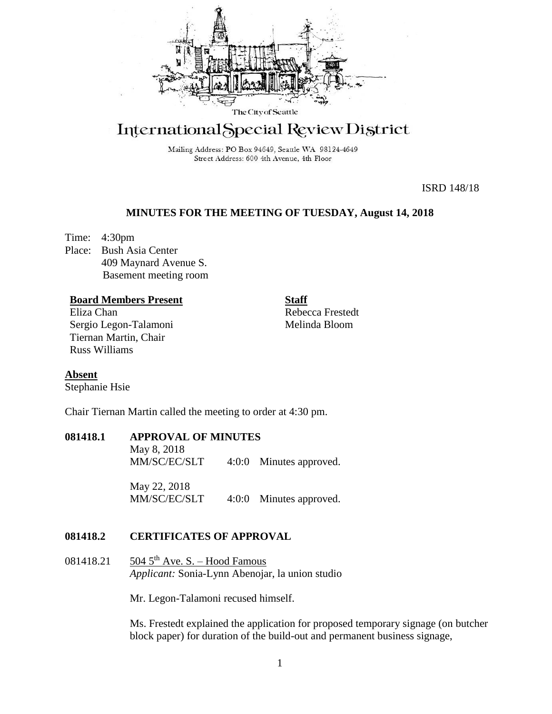

# International Special Review District

Mailing Address: PO Box 94649, Seattle WA 98124-4649 Street Address: 600 4th Avenue, 4th Floor

ISRD 148/18

#### **MINUTES FOR THE MEETING OF TUESDAY, August 14, 2018**

Time: 4:30pm Place: Bush Asia Center 409 Maynard Avenue S. Basement meeting room

#### **Board Members Present**

Eliza Chan Sergio Legon-Talamoni Tiernan Martin, Chair Russ Williams

Rebecca Frestedt Melinda Bloom

**Staff**

## **Absent**

Stephanie Hsie

Chair Tiernan Martin called the meeting to order at 4:30 pm.

## **081418.1 APPROVAL OF MINUTES**

May 8, 2018 MM/SC/EC/SLT 4:0:0 Minutes approved.

May 22, 2018 MM/SC/EC/SLT 4:0:0 Minutes approved.

#### **081418.2 CERTIFICATES OF APPROVAL**

081418.21 504 5<sup>th</sup> Ave. S. – Hood Famous *Applicant:* Sonia-Lynn Abenojar, la union studio

Mr. Legon-Talamoni recused himself.

Ms. Frestedt explained the application for proposed temporary signage (on butcher block paper) for duration of the build-out and permanent business signage,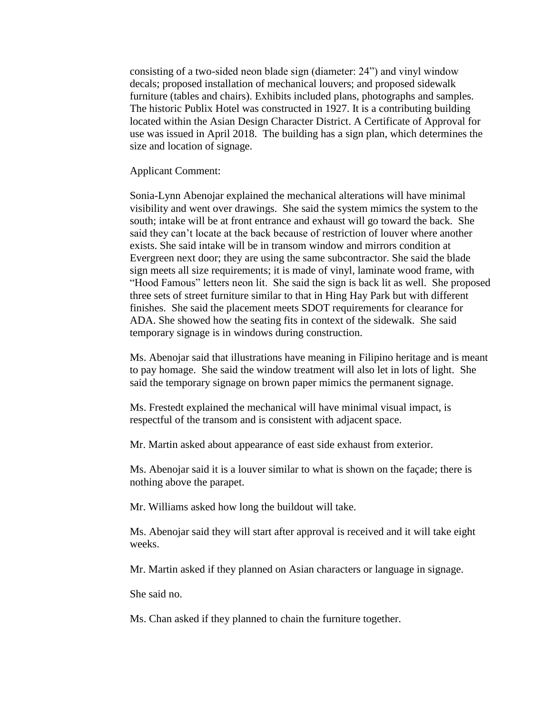consisting of a two-sided neon blade sign (diameter: 24") and vinyl window decals; proposed installation of mechanical louvers; and proposed sidewalk furniture (tables and chairs). Exhibits included plans, photographs and samples. The historic Publix Hotel was constructed in 1927. It is a contributing building located within the Asian Design Character District. A Certificate of Approval for use was issued in April 2018. The building has a sign plan, which determines the size and location of signage.

Applicant Comment:

Sonia-Lynn Abenojar explained the mechanical alterations will have minimal visibility and went over drawings. She said the system mimics the system to the south; intake will be at front entrance and exhaust will go toward the back. She said they can't locate at the back because of restriction of louver where another exists. She said intake will be in transom window and mirrors condition at Evergreen next door; they are using the same subcontractor. She said the blade sign meets all size requirements; it is made of vinyl, laminate wood frame, with "Hood Famous" letters neon lit. She said the sign is back lit as well. She proposed three sets of street furniture similar to that in Hing Hay Park but with different finishes. She said the placement meets SDOT requirements for clearance for ADA. She showed how the seating fits in context of the sidewalk. She said temporary signage is in windows during construction.

Ms. Abenojar said that illustrations have meaning in Filipino heritage and is meant to pay homage. She said the window treatment will also let in lots of light. She said the temporary signage on brown paper mimics the permanent signage.

Ms. Frestedt explained the mechanical will have minimal visual impact, is respectful of the transom and is consistent with adjacent space.

Mr. Martin asked about appearance of east side exhaust from exterior.

Ms. Abenojar said it is a louver similar to what is shown on the façade; there is nothing above the parapet.

Mr. Williams asked how long the buildout will take.

Ms. Abenojar said they will start after approval is received and it will take eight weeks.

Mr. Martin asked if they planned on Asian characters or language in signage.

She said no.

Ms. Chan asked if they planned to chain the furniture together.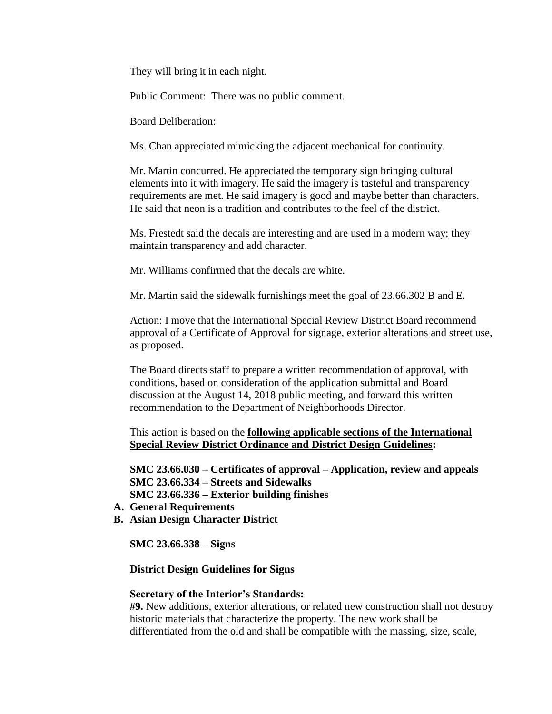They will bring it in each night.

Public Comment: There was no public comment.

Board Deliberation:

Ms. Chan appreciated mimicking the adjacent mechanical for continuity.

Mr. Martin concurred. He appreciated the temporary sign bringing cultural elements into it with imagery. He said the imagery is tasteful and transparency requirements are met. He said imagery is good and maybe better than characters. He said that neon is a tradition and contributes to the feel of the district.

Ms. Frestedt said the decals are interesting and are used in a modern way; they maintain transparency and add character.

Mr. Williams confirmed that the decals are white.

Mr. Martin said the sidewalk furnishings meet the goal of 23.66.302 B and E.

Action: I move that the International Special Review District Board recommend approval of a Certificate of Approval for signage, exterior alterations and street use, as proposed.

The Board directs staff to prepare a written recommendation of approval, with conditions, based on consideration of the application submittal and Board discussion at the August 14, 2018 public meeting, and forward this written recommendation to the Department of Neighborhoods Director.

This action is based on the **following applicable sections of the International Special Review District Ordinance and District Design Guidelines:** 

**SMC 23.66.030 – Certificates of approval – Application, review and appeals SMC 23.66.334 – Streets and Sidewalks SMC 23.66.336 – Exterior building finishes**

- **A. General Requirements**
- **B. Asian Design Character District**

**SMC 23.66.338 – Signs** 

**District Design Guidelines for Signs**

#### **Secretary of the Interior's Standards:**

**#9.** New additions, exterior alterations, or related new construction shall not destroy historic materials that characterize the property. The new work shall be differentiated from the old and shall be compatible with the massing, size, scale,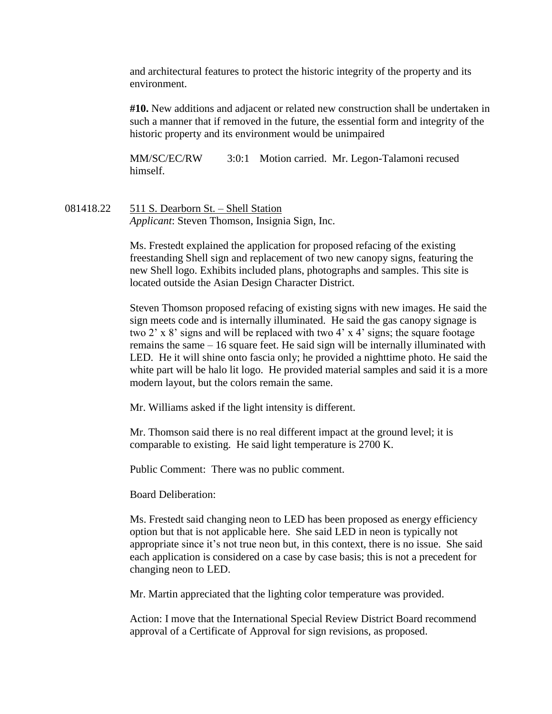and architectural features to protect the historic integrity of the property and its environment.

**#10.** New additions and adjacent or related new construction shall be undertaken in such a manner that if removed in the future, the essential form and integrity of the historic property and its environment would be unimpaired

MM/SC/EC/RW 3:0:1 Motion carried. Mr. Legon-Talamoni recused himself.

081418.22 511 S. Dearborn St. – Shell Station *Applicant*: Steven Thomson, Insignia Sign, Inc.

> Ms. Frestedt explained the application for proposed refacing of the existing freestanding Shell sign and replacement of two new canopy signs, featuring the new Shell logo. Exhibits included plans, photographs and samples. This site is located outside the Asian Design Character District.

Steven Thomson proposed refacing of existing signs with new images. He said the sign meets code and is internally illuminated. He said the gas canopy signage is two 2' x 8' signs and will be replaced with two 4' x 4' signs; the square footage remains the same – 16 square feet. He said sign will be internally illuminated with LED. He it will shine onto fascia only; he provided a nighttime photo. He said the white part will be halo lit logo. He provided material samples and said it is a more modern layout, but the colors remain the same.

Mr. Williams asked if the light intensity is different.

Mr. Thomson said there is no real different impact at the ground level; it is comparable to existing. He said light temperature is 2700 K.

Public Comment: There was no public comment.

Board Deliberation:

Ms. Frestedt said changing neon to LED has been proposed as energy efficiency option but that is not applicable here. She said LED in neon is typically not appropriate since it's not true neon but, in this context, there is no issue. She said each application is considered on a case by case basis; this is not a precedent for changing neon to LED.

Mr. Martin appreciated that the lighting color temperature was provided.

Action: I move that the International Special Review District Board recommend approval of a Certificate of Approval for sign revisions, as proposed.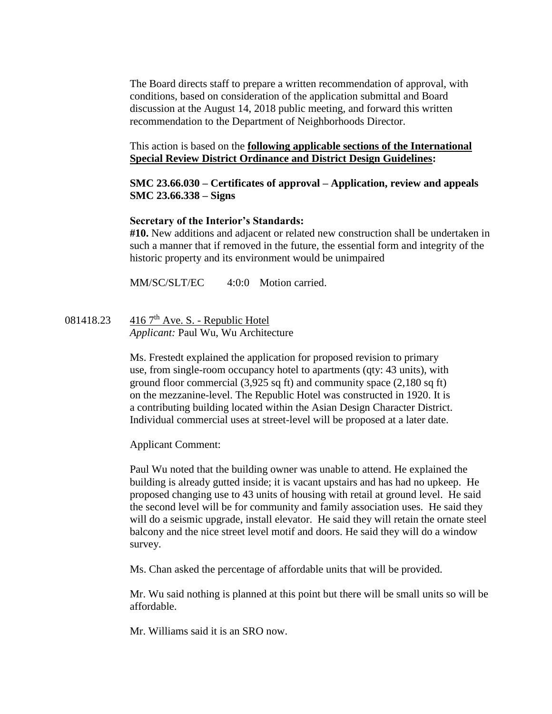The Board directs staff to prepare a written recommendation of approval, with conditions, based on consideration of the application submittal and Board discussion at the August 14, 2018 public meeting, and forward this written recommendation to the Department of Neighborhoods Director.

## This action is based on the **following applicable sections of the International Special Review District Ordinance and District Design Guidelines:**

## **SMC 23.66.030 – Certificates of approval – Application, review and appeals SMC 23.66.338 – Signs**

## **Secretary of the Interior's Standards:**

**#10.** New additions and adjacent or related new construction shall be undertaken in such a manner that if removed in the future, the essential form and integrity of the historic property and its environment would be unimpaired

MM/SC/SLT/EC 4:0:0 Motion carried.

081418.23  $4167<sup>th</sup>$  Ave. S. - Republic Hotel *Applicant:* Paul Wu, Wu Architecture

> Ms. Frestedt explained the application for proposed revision to primary use, from single-room occupancy hotel to apartments (qty: 43 units), with ground floor commercial (3,925 sq ft) and community space (2,180 sq ft) on the mezzanine-level. The Republic Hotel was constructed in 1920. It is a contributing building located within the Asian Design Character District. Individual commercial uses at street-level will be proposed at a later date.

Applicant Comment:

Paul Wu noted that the building owner was unable to attend. He explained the building is already gutted inside; it is vacant upstairs and has had no upkeep. He proposed changing use to 43 units of housing with retail at ground level. He said the second level will be for community and family association uses. He said they will do a seismic upgrade, install elevator. He said they will retain the ornate steel balcony and the nice street level motif and doors. He said they will do a window survey.

Ms. Chan asked the percentage of affordable units that will be provided.

Mr. Wu said nothing is planned at this point but there will be small units so will be affordable.

Mr. Williams said it is an SRO now.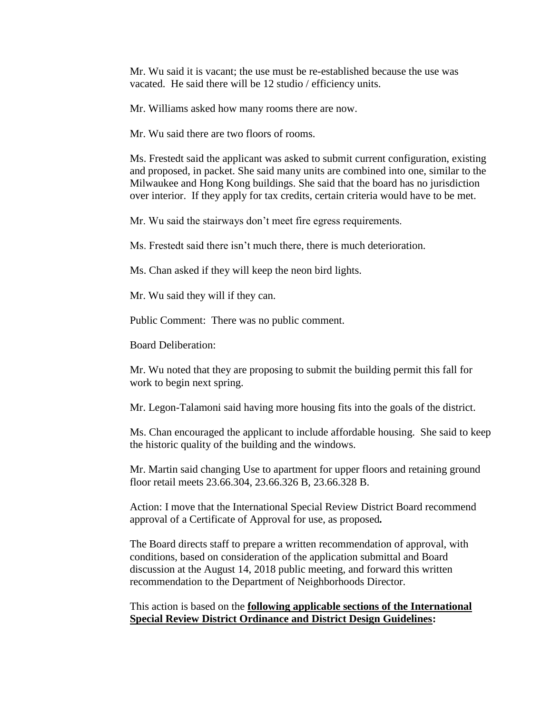Mr. Wu said it is vacant; the use must be re-established because the use was vacated. He said there will be 12 studio / efficiency units.

Mr. Williams asked how many rooms there are now.

Mr. Wu said there are two floors of rooms.

Ms. Frestedt said the applicant was asked to submit current configuration, existing and proposed, in packet. She said many units are combined into one, similar to the Milwaukee and Hong Kong buildings. She said that the board has no jurisdiction over interior. If they apply for tax credits, certain criteria would have to be met.

Mr. Wu said the stairways don't meet fire egress requirements.

Ms. Frestedt said there isn't much there, there is much deterioration.

Ms. Chan asked if they will keep the neon bird lights.

Mr. Wu said they will if they can.

Public Comment: There was no public comment.

Board Deliberation:

Mr. Wu noted that they are proposing to submit the building permit this fall for work to begin next spring.

Mr. Legon-Talamoni said having more housing fits into the goals of the district.

Ms. Chan encouraged the applicant to include affordable housing. She said to keep the historic quality of the building and the windows.

Mr. Martin said changing Use to apartment for upper floors and retaining ground floor retail meets 23.66.304, 23.66.326 B, 23.66.328 B.

Action: I move that the International Special Review District Board recommend approval of a Certificate of Approval for use, as proposed*.*

The Board directs staff to prepare a written recommendation of approval, with conditions, based on consideration of the application submittal and Board discussion at the August 14, 2018 public meeting, and forward this written recommendation to the Department of Neighborhoods Director.

#### This action is based on the **following applicable sections of the International Special Review District Ordinance and District Design Guidelines:**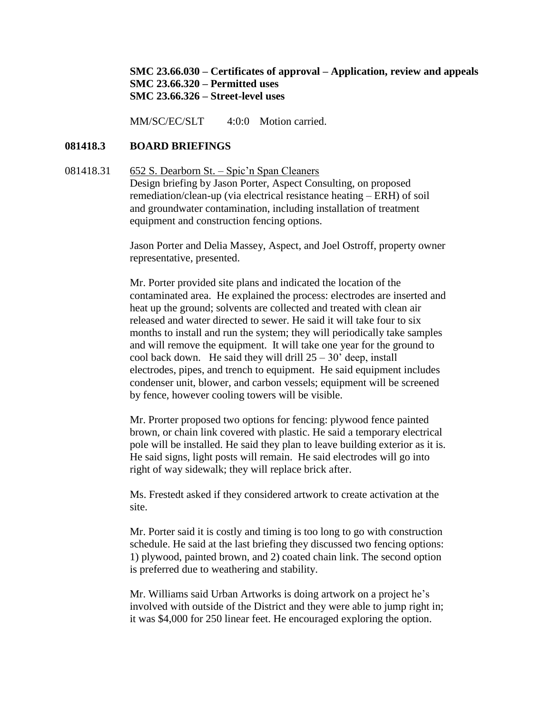**SMC 23.66.030 – Certificates of approval – Application, review and appeals SMC 23.66.320 – Permitted uses SMC 23.66.326 – Street-level uses**

MM/SC/EC/SLT 4:0:0 Motion carried.

#### **081418.3 BOARD BRIEFINGS**

## 081418.31 652 S. Dearborn St. – Spic'n Span Cleaners Design briefing by Jason Porter, Aspect Consulting, on proposed remediation/clean-up (via electrical resistance heating – ERH) of soil and groundwater contamination, including installation of treatment equipment and construction fencing options.

Jason Porter and Delia Massey, Aspect, and Joel Ostroff, property owner representative, presented.

Mr. Porter provided site plans and indicated the location of the contaminated area. He explained the process: electrodes are inserted and heat up the ground; solvents are collected and treated with clean air released and water directed to sewer. He said it will take four to six months to install and run the system; they will periodically take samples and will remove the equipment. It will take one year for the ground to cool back down. He said they will drill  $25 - 30'$  deep, install electrodes, pipes, and trench to equipment. He said equipment includes condenser unit, blower, and carbon vessels; equipment will be screened by fence, however cooling towers will be visible.

Mr. Prorter proposed two options for fencing: plywood fence painted brown, or chain link covered with plastic. He said a temporary electrical pole will be installed. He said they plan to leave building exterior as it is. He said signs, light posts will remain. He said electrodes will go into right of way sidewalk; they will replace brick after.

Ms. Frestedt asked if they considered artwork to create activation at the site.

Mr. Porter said it is costly and timing is too long to go with construction schedule. He said at the last briefing they discussed two fencing options: 1) plywood, painted brown, and 2) coated chain link. The second option is preferred due to weathering and stability.

Mr. Williams said Urban Artworks is doing artwork on a project he's involved with outside of the District and they were able to jump right in; it was \$4,000 for 250 linear feet. He encouraged exploring the option.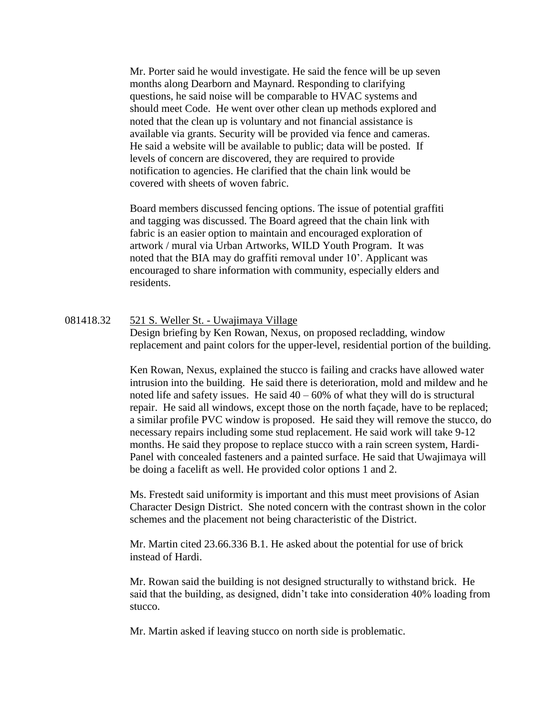Mr. Porter said he would investigate. He said the fence will be up seven months along Dearborn and Maynard. Responding to clarifying questions, he said noise will be comparable to HVAC systems and should meet Code. He went over other clean up methods explored and noted that the clean up is voluntary and not financial assistance is available via grants. Security will be provided via fence and cameras. He said a website will be available to public; data will be posted. If levels of concern are discovered, they are required to provide notification to agencies. He clarified that the chain link would be covered with sheets of woven fabric.

Board members discussed fencing options. The issue of potential graffiti and tagging was discussed. The Board agreed that the chain link with fabric is an easier option to maintain and encouraged exploration of artwork / mural via Urban Artworks, WILD Youth Program. It was noted that the BIA may do graffiti removal under 10'. Applicant was encouraged to share information with community, especially elders and residents.

#### 081418.32 521 S. Weller St. - Uwajimaya Village

Design briefing by Ken Rowan, Nexus, on proposed recladding, window replacement and paint colors for the upper-level, residential portion of the building.

Ken Rowan, Nexus, explained the stucco is failing and cracks have allowed water intrusion into the building. He said there is deterioration, mold and mildew and he noted life and safety issues. He said  $40 - 60\%$  of what they will do is structural repair. He said all windows, except those on the north façade, have to be replaced; a similar profile PVC window is proposed. He said they will remove the stucco, do necessary repairs including some stud replacement. He said work will take 9-12 months. He said they propose to replace stucco with a rain screen system, Hardi-Panel with concealed fasteners and a painted surface. He said that Uwajimaya will be doing a facelift as well. He provided color options 1 and 2.

Ms. Frestedt said uniformity is important and this must meet provisions of Asian Character Design District. She noted concern with the contrast shown in the color schemes and the placement not being characteristic of the District.

Mr. Martin cited 23.66.336 B.1. He asked about the potential for use of brick instead of Hardi.

Mr. Rowan said the building is not designed structurally to withstand brick. He said that the building, as designed, didn't take into consideration 40% loading from stucco.

Mr. Martin asked if leaving stucco on north side is problematic.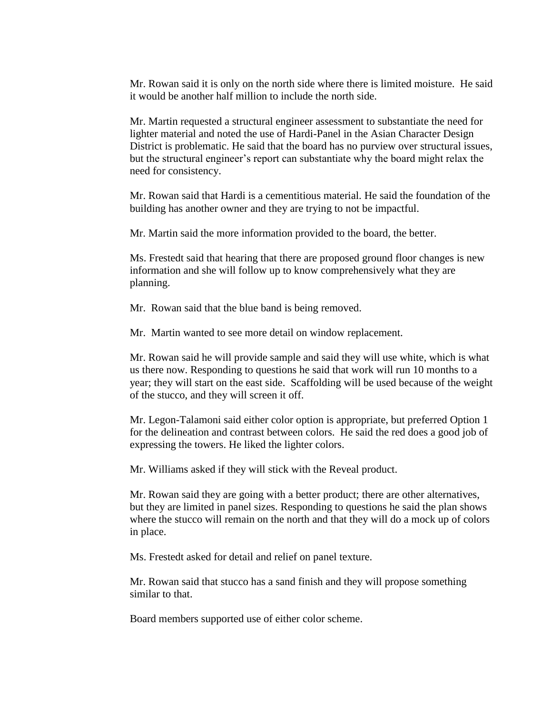Mr. Rowan said it is only on the north side where there is limited moisture. He said it would be another half million to include the north side.

Mr. Martin requested a structural engineer assessment to substantiate the need for lighter material and noted the use of Hardi-Panel in the Asian Character Design District is problematic. He said that the board has no purview over structural issues, but the structural engineer's report can substantiate why the board might relax the need for consistency.

Mr. Rowan said that Hardi is a cementitious material. He said the foundation of the building has another owner and they are trying to not be impactful.

Mr. Martin said the more information provided to the board, the better.

Ms. Frestedt said that hearing that there are proposed ground floor changes is new information and she will follow up to know comprehensively what they are planning.

Mr. Rowan said that the blue band is being removed.

Mr. Martin wanted to see more detail on window replacement.

Mr. Rowan said he will provide sample and said they will use white, which is what us there now. Responding to questions he said that work will run 10 months to a year; they will start on the east side. Scaffolding will be used because of the weight of the stucco, and they will screen it off.

Mr. Legon-Talamoni said either color option is appropriate, but preferred Option 1 for the delineation and contrast between colors. He said the red does a good job of expressing the towers. He liked the lighter colors.

Mr. Williams asked if they will stick with the Reveal product.

Mr. Rowan said they are going with a better product; there are other alternatives, but they are limited in panel sizes. Responding to questions he said the plan shows where the stucco will remain on the north and that they will do a mock up of colors in place.

Ms. Frestedt asked for detail and relief on panel texture.

Mr. Rowan said that stucco has a sand finish and they will propose something similar to that.

Board members supported use of either color scheme.